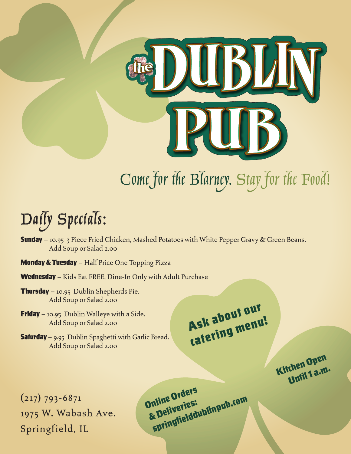

# Come for the Blarney. Stay for the Food!

## Daily Specials:

- **Sunday** 10.95 3 Piece Fried Chicken, Mashed Potatoes with White Pepper Gravy & Green Beans. Add Soup or Salad 2.00
- **Monday & Tuesday** Half Price One Topping Pizza
- Wednesday Kids Eat FREE, Dine-In Only with Adult Purchase
- **Thursday** 10.95 Dublin Shepherds Pie. Add Soup or Salad 2.00
- **Friday** 10.95 Dublin Walleye with a Side. Add Soup or Salad 2.00
- **Saturday** 9.95 Dublin Spaghetti with Garlic Bread. Add Soup or Salad 2.00

Ask about our catering menu!

Kitchen Open Until 1 a.m.

 $(217)$  793-6871 1975 W. Wabash Ave. Springfield, IL

Online Orders & Deliveries: springfielddublinpub.com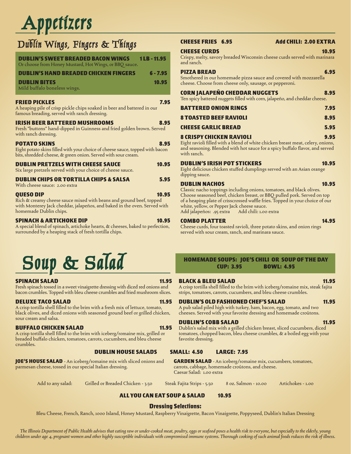# Appetizers

### Dublin Wings, Fingers & Things

| <b>DUBLIN'S SWEET BREADED BACON WINGS</b><br>Or choose from Honey Mustard, Hot Wings, or BBQ sauce.                                                                                            | 1LB-11.95  |
|------------------------------------------------------------------------------------------------------------------------------------------------------------------------------------------------|------------|
| <b>DUBLIN'S HAND BREADED CHICKEN FINGERS</b>                                                                                                                                                   | $6 - 7.95$ |
| <b>DUBLIN BITES</b><br>Mild buffalo boneless wings.                                                                                                                                            | 10.95      |
| FRIED PICKLES<br>A heaping pile of crisp pickle chips soaked in beer and battered in our<br>famous breading, served with ranch dressing.                                                       | 7.95       |
| <b>IRISH BEER BATTERED MUSHROOMS</b><br>Fresh "buttons" hand-dipped in Guinness and fried golden brown. Served<br>with ranch dressing.                                                         | 8.95       |
| <b>POTATO SKINS</b><br>Eight potato skins filled with your choice of cheese sauce, topped with bacon<br>bits, shredded cheese, & green onion. Served with sour cream.                          | 8.95       |
| <b>DUBLIN PRETZELS WITH CHEESE SAUCE</b><br>Six large pretzels served with your choice of cheese sauce.                                                                                        | 10.95      |
| DUBLIN CHIPS OR TORTILLA CHIPS & SALSA<br>With cheese sauce: 2.00 extra                                                                                                                        | 5.95       |
| <b>QUESO DIP</b><br>Rich & creamy cheese sauce mixed with beans and ground beef, topped<br>with Monterey Jack cheddar, jalapeños, and baked in the oven. Served with<br>homemade Dublin chips. | 10.95      |
|                                                                                                                                                                                                |            |

#### SPINACH & ARTICHOKE DIP 10.95

A special blend of spinach, artichoke hearts, & cheeses, baked to perfection, surrounded by a heaping stack of fresh tortilla chips.

# Soup & Salad HOMEMADE SOUPS: JOE'S CHILI OR SOUP OF THE DAY

#### SPINACH SALAD 11.95

Fresh spinach tossed in a sweet vinaigrette dressing with diced red onions and bacon crumbles. Topped with bleu cheese crumbles and fried mushroom slices.

#### DELUXE TACO SALAD

A crisp tortilla shell filled to the brim with a fresh mix of lettuce, tomato, black olives, and diced onions with seasoned ground beef or grilled chicken, sour cream and salsa.

#### BUFFALO CHICKEN SALAD 11.95

A crisp tortilla shell filled to the brim with iceberg/romaine mix, grilled or breaded buffalo chicken, tomatoes, carrots, cucumbers, and bleu cheese crumbles.

JOE'S HOUSE SALAD - An iceberg/romaine mix with sliced onions and parmesan cheese, tossed in our special Italian dressing.

#### CHEESE FRIES 6.95 Add CHILI: 2.00 EXTRA

#### **CHEESE CURDS** 10.95

Crispy, melty, savory breaded Wisconsin cheese curds served with marinara and ranch.

| <b>PIZZA BREAD</b><br>Smothered in our homemade pizza sauce and covered with mozzarella<br>cheese. Choose from cheese only, sausage, or pepperoni. | 6.95 |
|----------------------------------------------------------------------------------------------------------------------------------------------------|------|
| <b>CORN JALAPEÑO CHEDDAR NUGGETS</b><br>Ten spicy battered nuggets filled with corn, jalapeño, and cheddar cheese.                                 | 8.95 |
| <b>BATTERED ONION RINGS</b>                                                                                                                        | 7.95 |

| 8 TOASTED BEEF RAVIOLI | 8.95 |
|------------------------|------|
| CHEESE GARLIC BREAD    | 5.95 |

#### 8 CRISPY CHICKEN RAVIOLI 9.95

Eight ravioli filled with a blend of white chicken breast meat, celery, onions, and seasoning. Blended with hot sauce for a spicy buffalo flavor, and served with ranch.

#### DUBLIN'S IRISH POT STICKERS **10.95**

Eight delicious chicken stuffed dumplings served with an Asian orange dipping sauce.

#### **DUBLIN NACHOS** 10.95

Classic nacho toppings including onions, tomatoes, and black olives. Choose seasoned beef, chicken breast, or BBQ pulled pork. Served on top of a heaping plate of crisscrossed waffle fries. Topped in your choice of our white, yellow, or Pepper Jack cheese sauce. Add jalapeños: .95 extra Add chili: 1.00 extra

#### **COMBO PLATTER** 14.95

Cheese curds, four toasted ravioli, three potato skins, and onion rings served with sour cream, ranch, and marinara sauce.

### CUP: 3.95 BOWL: 4.95

#### BLACK & BLEU SALAD 11.95

A crisp tortilla shell filled to the brim with iceberg/romaine mix, steak fajita strips, tomatoes, carrots, cucumbers, and bleu cheese crumbles.

#### DUBLIN'S OLD FASHIONED CHEF'S SALAD 11.95

A pub salad piled high with turkey, ham, bacon, egg, tomato, and two cheeses. Served with your favorite dressing and homemade croûtons.

#### DUBLIN'S COBB SALAD 11.95 Dublin's salad mix with a grilled chicken breast, sliced cucumbers, diced

tomatoes, chopped bacon, bleu cheese crumbles, & a boiled egg with your favorite dressing.

#### DUBLIN HOUSE SALADS SMALL: 4.50 LARGE: 7.95

GARDEN SALAD - An iceberg/romaine mix, cucumbers, tomatoes, carrots, cabbage, homemade croûtons, and cheese. Caesar Salad: 1.00 extra

Add to any salad: Grilled or Breaded Chicken - 3.50 Steak Fajita Strips - 5.50 8 oz. Salmon - 10.00 Artichokes - 1.00

ALL YOU CAN EAT SOUP & SALAD 10.95

Dressing Selections:

Bleu Cheese, French, Ranch, 1000 Island, Honey Mustard, Raspberry Vinaigrette, Bacon Vinaigrette, Poppyseed, Dublin's Italian Dressing

*The Illinois Department of Public Health advises that eating raw or under-cooked meat, poultry, eggs or seafood poses a health risk to everyone, but especially to the elderly, young children under age 4, pregnant women and other highly susceptible individuals with compromised immune systems. Thorough cooking of such animal foods reduces the risk of illness.*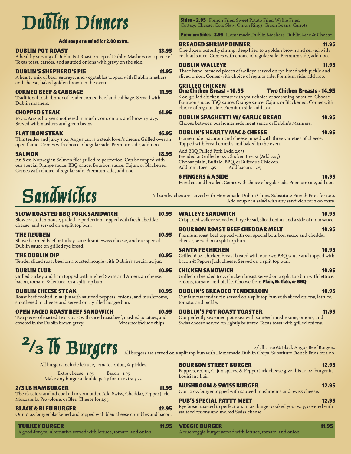# Dublin Dinners

#### Add soup or a salad for 2.00 extra.

#### DUBLIN POT ROAST 13.95

A healthy serving of Dublin Pot Roast on top of Dublin Mashers on a piece of Texas toast, carrots, and sautéed onions with gravy on the side.

#### DUBLIN'S SHEPHERD'S PIE 11.95

A hearty mix of beef, sausage, and vegetables topped with Dublin mashers and cheese, baked golden brown in the oven.

#### CORNED BEEF & CABBAGE 11.95

Traditional Irish dinner of tender corned beef and cabbage. Served with Dublin mashers.

#### CHOPPED STEAK 14.95

10 oz. Angus burger smothered in mushroom, onion, and brown gravy. Served with mashers and green beans.

#### FLAT IRON STEAK 16.95

This tender and juicy 8 oz. Angus cut is a steak lover's dream. Grilled over an open flame. Comes with choice of regular side. Premium side, add 1.00.

#### SALMON 18.95

An 8 oz. Norwegian Salmon filet grilled to perfection. Can be topped with our special Orange sauce, BBQ sauce, Bourbon sauce, Cajun, or Blackened. Comes with choice of regular side. Premium side, add 1.00.

## Sandwiches

#### SLOW ROASTED BBQ PORK SANDWICH 10.95

Slow roasted in house, pulled to perfection, topped with fresh cheddar cheese, and served on a split top bun.

**THE REUBEN 10.95** Shaved corned beef or turkey, sauerkraut, Swiss cheese, and our special Dublin sauce on grilled rye bread.

#### THE DUBLIN DIP **10.95**

Tender sliced roast beef on a toasted hoagie with Dublin's special au jus.

#### **DUBLIN CLUB** 10.95

Grilled turkey and ham topped with melted Swiss and American cheese, bacon, tomato, & lettuce on a split top bun.

#### DUBLIN CHEESE STEAK 10.95

Roast beef cooked in au jus with sautéed peppers, onions, and mushrooms, smothered in cheese and served on a grilled hoagie bun.

#### OPEN FACED ROAST BEEF SANDWICH 10.95

Two pieces of toasted Texas toast with sliced roast beef, mashed potatoes, and covered in the Dublin brown gravy.

### $2/3$  Ib Burgers 2

All burgers include lettuce, tomato, onion, & pickles.

Extra cheese: 1.95 Bacon: 1.95 Make any burger a double patty for an extra 3.25.

#### 2/3 LB HAMBURGER 11.95

The classic standard cooked to your order. Add Swiss, Cheddar, Pepper Jack, Mozzarella, Provolone, or Bleu Cheese for 1.95.

#### BLACK & BLEU BURGER 12.95

Our 10 oz. burger blackened and topped with bleu cheese crumbles and bacon.

TURKEY BURGER 11.95 A good-for-you alternative served with lettuce, tomato, and onion.

**Sides - 2.95** French Fries, Sweet Potato Fries, Waffle Fries, Cottage Cheese, Cole Slaw, Onion Rings, Green Beans, Carrots

Premium Sides - 3.95 Homemade Dublin Mashers, Dublin Mac & Cheese

#### BREADED SHRIMP DINNER 11.95

One dozen butterfly shrimp, deep fried to a golden brown and served with cocktail sauce. Comes with choice of regular side. Premium side, add 1.00.

#### **DUBLIN WALLEYE** 11.95

Three hand-breaded pieces of walleye served on rye bread with pickle and sliced onion. Comes with choice of regular side. Premium side, add 1.00.

### GRILLED CHICKEN

One Chicken Breast - 10.95 Two Chicken Breasts - 14.95 6 oz. grilled chicken breast with your choice of seasoning or sauce. Choose Bourbon sauce, BBQ sauce, Orange sauce, Cajun, or Blackened. Comes with choice of regular side. Premium side, add 1.00.

#### DUBLIN SPAGHETTI W/ GARLIC BREAD 10.95

Choose between our homemade meat sauce or Dublin's Marinara.

#### DUBLIN'S HEARTY MAC & CHEESE 10.95

Homemade macaroni and cheese mixed with three varieties of cheese. Topped with bread crumbs and baked in the oven.

Add BBQ Pulled Pork (Add 2.95)

Breaded or Grilled 6 oz. Chicken Breast (Add 2.95) Choose plain, Buffalo, BBQ, or Buffeque Chicken.<br>Add tomatoes: .95 Add bacon: 1.25 Add tomatoes: .95

#### 6 FINGERS & A SIDE 10.95

Hand cut and breaded. Comes with choice of regular side. Premium side, add 1.00.

All sandwiches are served with Homemade Dublin Chips. Substitute French Fries for 1.00. Add soup or a salad with any sandwich for 2.00 extra.

#### WALLEYE SANDWICH 10.95

Crisp fried walleye served with rye bread, sliced onion, and a side of tartar sauce.

#### BOURBON ROAST BEEF CHEDDAR MELT 10.95

Premium roast beef topped with our special bourbon sauce and cheddar cheese, served on a split top bun.

#### SANTA FE CHICKEN 10.95

Grilled 6 oz. chicken breast basted with our own BBQ sauce and topped with bacon & Pepper Jack cheese. Served on a split top bun.

#### **CHICKEN SANDWICH 10.95**

Grilled or breaded 6 oz. chicken breast served on a split top bun with lettuce, onions, tomato, and pickle. Choose from Plain, Buffalo, or BBQ.

#### DUBLIN'S BREADED TENDERLOIN 10.95

Our famous tenderloin served on a split top bun with sliced onions, lettuce, tomato, and pickle.

#### DUBLIN'S POT ROAST TOASTER 11.95

Our perfectly seasoned pot roast with sautéed mushrooms, onions, and Swiss cheese served on lightly buttered Texas toast with grilled onions.

2/3 lb., 100% Black Angus Beef Burgers. All burgers are served on a split top bun with Homemade Dublin Chips. Substitute French Fries for 1.00.

#### **BOURBON STREET BURGER 12.95**

Peppers, onion, Cajun spices, & Pepper Jack cheese give this 10 oz. burger its Louisiana flair.

#### MUSHROOM & SWISS BURGER 12.95

Our 10 oz. burger topped with sautéed mushrooms and Swiss cheese.

#### PUB'S SPECIAL PATTY MELT 12.95

Rye bread toasted to perfection. 10 oz. burger cooked your way, covered with sautéed onions and melted Swiss cheese.

VEGGIE BURGER 11.95

A true veggie burger served with lettuce, tomato, and onion.